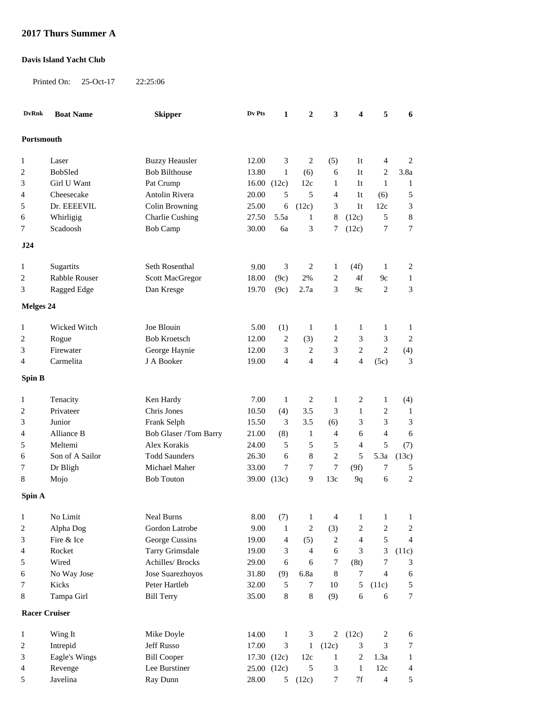## **2017 Thurs Summer A**

## **Davis Island Yacht Club**

Printed On: 25-Oct-17 22:25:06

| <b>DvRnk</b>               | <b>Boat Name</b> | <b>Skipper</b>                      | Dv Pts         | 1                   | $\overline{2}$ | 3                 | 4                                         | 5                                  | 6                          |
|----------------------------|------------------|-------------------------------------|----------------|---------------------|----------------|-------------------|-------------------------------------------|------------------------------------|----------------------------|
| Portsmouth                 |                  |                                     |                |                     |                |                   |                                           |                                    |                            |
|                            |                  |                                     |                |                     |                |                   |                                           |                                    |                            |
| $\mathbf{1}$               | Laser            | <b>Buzzy Heausler</b>               | 12.00          | 3                   | $\overline{2}$ | (5)               | 1 <sub>t</sub>                            | $\overline{4}$                     | $\sqrt{2}$                 |
| $\overline{c}$             | BobSled          | <b>Bob Bilthouse</b>                | 13.80          | $\mathbf{1}$        | (6)            | 6                 | 1 <sub>t</sub>                            | $\overline{c}$                     | 3.8a                       |
| 3                          | Girl U Want      | Pat Crump                           |                | 16.00(12c)          | 12c            | $\mathbf{1}$      | 1 <sub>t</sub>                            | $\mathbf{1}$                       | $\mathbf{1}$               |
| 4                          | Cheesecake       | <b>Antolin Rivera</b>               | 20.00          | 5                   | 5              | 4                 | 1 <sub>t</sub>                            | (6)                                | 5                          |
| 5                          | Dr. EEEEVIL      | Colin Browning                      | 25.00          | 6                   | (12c)          | 3                 | 1 <sub>t</sub>                            | 12c                                | 3                          |
| 6                          | Whirligig        | <b>Charlie Cushing</b>              | 27.50          | 5.5a                | 1              | 8                 | (12c)                                     | 5                                  | $\,$ 8 $\,$                |
| 7                          | Scadoosh         | <b>Bob Camp</b>                     | 30.00          | 6a                  | 3              | 7                 | (12c)                                     | 7                                  | $\boldsymbol{7}$           |
|                            |                  |                                     |                |                     |                |                   |                                           |                                    |                            |
| J24                        |                  |                                     |                |                     |                |                   |                                           |                                    |                            |
| 1                          | Sugartits        | Seth Rosenthal                      | 9.00           | 3                   | $\overline{c}$ | $\mathbf{1}$      | (4f)                                      | 1                                  | $\overline{\mathbf{c}}$    |
| $\overline{2}$             | Rabble Rouser    | <b>Scott MacGregor</b>              | 18.00          | (9c)                | 2%             | $\overline{2}$    | 4f                                        | 9c                                 | $\mathbf{1}$               |
| 3                          | Ragged Edge      | Dan Kresge                          | 19.70          | (9c)                | 2.7a           | 3                 | 9c                                        | $\overline{2}$                     | 3                          |
| Melges 24                  |                  |                                     |                |                     |                |                   |                                           |                                    |                            |
|                            |                  |                                     |                |                     |                |                   |                                           |                                    |                            |
| 1                          | Wicked Witch     | Joe Blouin                          | 5.00           | (1)                 | $\mathbf{1}$   | $\mathbf{1}$      | $\mathbf{1}$                              | $\mathbf{1}$                       | $\mathbf{1}$               |
| $\overline{c}$             | Rogue            | <b>Bob Kroetsch</b>                 | 12.00          | $\overline{c}$      | (3)            | $\overline{c}$    | 3                                         | 3                                  | $\overline{2}$             |
| 3                          | Firewater        | George Haynie                       | 12.00          | 3                   | $\overline{c}$ | 3                 | $\sqrt{2}$                                | $\overline{2}$                     | (4)                        |
| 4                          | Carmelita        | J A Booker                          | 19.00          | $\overline{4}$      | 4              | $\overline{4}$    | 4                                         | (5c)                               | 3                          |
| Spin B                     |                  |                                     |                |                     |                |                   |                                           |                                    |                            |
| 1                          | Tenacity         | Ken Hardy                           | 7.00           | $\mathbf{1}$        | $\overline{c}$ | $\mathbf{1}$      | 2                                         | $\mathbf{1}$                       | (4)                        |
| $\overline{\mathbf{c}}$    | Privateer        | Chris Jones                         | 10.50          | (4)                 | 3.5            | 3                 | $\mathbf{1}$                              | $\mathbf{2}$                       | $\mathbf{1}$               |
| 3                          | Junior           | Frank Selph                         | 15.50          | 3                   | 3.5            | (6)               | 3                                         | 3                                  | 3                          |
| 4                          | Alliance B       | Bob Glaser /Tom Barry               | 21.00          | (8)                 | $\mathbf{1}$   | $\overline{4}$    | 6                                         | $\overline{4}$                     | 6                          |
| 5                          | Meltemi          | Alex Korakis                        | 24.00          | 5                   | 5              | 5                 | $\overline{4}$                            | 5                                  | (7)                        |
| 6                          | Son of A Sailor  | <b>Todd Saunders</b>                | 26.30          | 6                   | 8              | $\sqrt{2}$        | 5                                         | 5.3a                               | (13c)                      |
| 7                          | Dr Bligh         | Michael Maher                       | 33.00          | 7                   | 7              | $\tau$            | (9f)                                      | 7                                  | 5                          |
| 8                          | Mojo             | <b>Bob Touton</b>                   |                | 39.00 (13c)         | 9              | 13c               | 9q                                        | 6                                  | $\overline{c}$             |
| Spin A                     |                  |                                     |                |                     |                |                   |                                           |                                    |                            |
|                            | No Limit         |                                     |                |                     |                |                   |                                           |                                    |                            |
| $\mathbf{1}$<br>$\sqrt{2}$ | Alpha Dog        | <b>Neal Burns</b><br>Gordon Latrobe | 8.00<br>9.00   | (7)<br>$\mathbf{1}$ | $\mathbf{1}$   | 4                 | $\mathbf{1}$                              | $\mathbf{1}$                       | $\mathbf{1}$<br>$\sqrt{2}$ |
| 3                          | Fire & Ice       | George Cussins                      | 19.00          | 4                   | 2<br>(5)       | (3)<br>$\sqrt{2}$ | $\overline{\mathbf{c}}$<br>$\overline{4}$ | $\boldsymbol{2}$<br>5              | $\overline{4}$             |
|                            | Rocket           | <b>Tarry Grimsdale</b>              |                |                     | $\overline{4}$ |                   |                                           |                                    |                            |
| 4                          |                  |                                     | 19.00          | 3                   |                | 6                 | 3                                         | 3                                  | (11c)                      |
| 5                          | Wired            | Achilles/ Brocks                    | 29.00<br>31.80 | 6                   | 6<br>6.8a      | 7                 | (8t)<br>7                                 | $\boldsymbol{7}$<br>$\overline{4}$ | 3                          |
| 6                          | No Way Jose      | Jose Suarezhoyos                    |                | (9)                 |                | $\,8\,$           |                                           |                                    | 6                          |
| 7                          | Kicks            | Peter Hartleb                       | 32.00          | 5                   | $\tau$         | 10                | 5                                         | (11c)                              | $\mathfrak s$              |
| 8                          | Tampa Girl       | <b>Bill Terry</b>                   | 35.00          | $\,8\,$             | 8              | (9)               | 6                                         | 6                                  | $\tau$                     |
| <b>Racer Cruiser</b>       |                  |                                     |                |                     |                |                   |                                           |                                    |                            |
| $\mathbf{1}$               | Wing It          | Mike Doyle                          | 14.00          | $\mathbf{1}$        | $\mathfrak{Z}$ | $\overline{2}$    | (12c)                                     | $\sqrt{2}$                         | 6                          |
| $\overline{c}$             | Intrepid         | Jeff Russo                          | 17.00          | 3                   | $\mathbf{1}$   | (12c)             | $\ensuremath{\mathfrak{Z}}$               | $\mathfrak{Z}$                     | $\boldsymbol{7}$           |
| 3                          | Eagle's Wings    | <b>Bill Cooper</b>                  |                | 17.30 (12c)         | 12c            | $\mathbf{1}$      | $\overline{c}$                            | 1.3a                               | $\mathbf{1}$               |
| 4                          | Revenge          | Lee Burstiner                       | 25.00 (12c)    |                     | 5              | 3                 | $\mathbf{1}$                              | 12c                                | $\overline{\mathcal{A}}$   |
| 5                          | Javelina         | Ray Dunn                            | 28.00          | 5                   | (12c)          | $\tau$            | $7\mathrm{f}$                             | $\overline{4}$                     | 5                          |